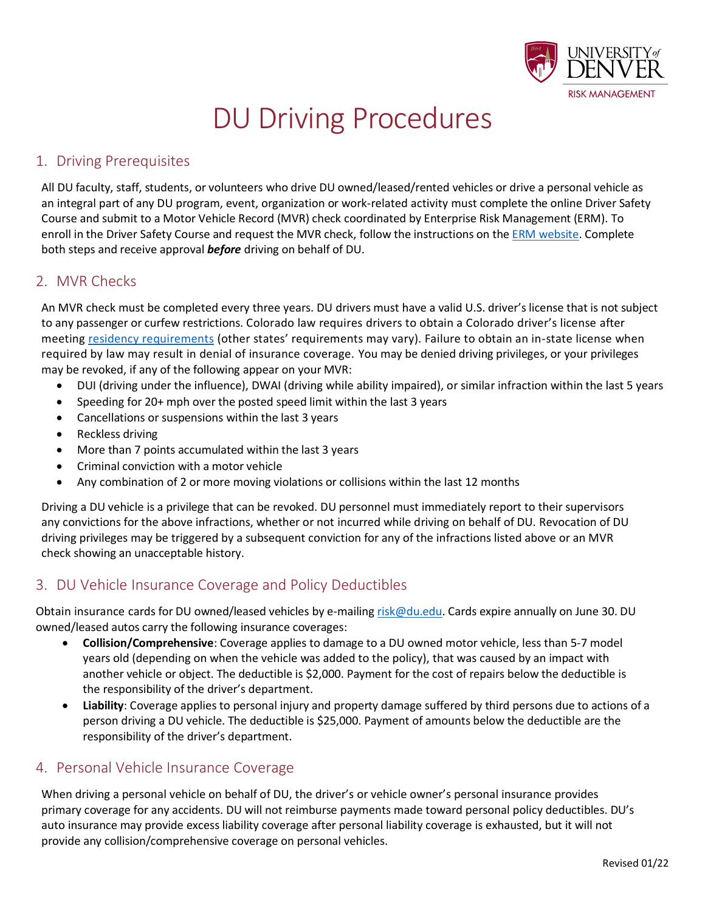

# DU Driving Procedures

### 1. Driving Prerequisites

All DU faculty, staff, students, or volunteers who drive DU owned/leased/rented vehicles or drive a personal vehicle as an integral part of any DU program, event, organization or work-related activity must complete the online Driver Safety Course and submit to a Motor Vehicle Record (MVR) check coordinated by Enterprise Risk Management (ERM). To enroll in the Driver Safety Course and request the MVR check, follow the instructions on th[e ERM website.](https://www.du.edu/risk/driver_responsibilities.html) Complete both steps and receive approval *before* driving on behalf of DU.

#### 2. MVR Checks

An MVR check must be completed every three years. DU drivers must have a valid U.S. driver's license that is not subject to any passenger or curfew restrictions. Colorado law requires drivers to obtain a Colorado driver's license after meeting [residency requirements](https://dmv.colorado.gov/new-to-colorado) (other states' requirements may vary). Failure to obtain an in-state license when required by law may result in denial of insurance coverage. You may be denied driving privileges, or your privileges may be revoked, if any of the following appear on your MVR:

- DUI (driving under the influence), DWAI (driving while ability impaired), or similar infraction within the last 5 years
- Speeding for 20+ mph over the posted speed limit within the last 3 years
- Cancellations or suspensions within the last 3 years
- Reckless driving
- More than 7 points accumulated within the last 3 years
- Criminal conviction with a motor vehicle
- Any combination of 2 or more moving violations or collisions within the last 12 months

Driving a DU vehicle is a privilege that can be revoked. DU personnel must immediately report to their supervisors any convictions for the above infractions, whether or not incurred while driving on behalf of DU. Revocation of DU driving privileges may be triggered by a subsequent conviction for any of the infractions listed above or an MVR check showing an unacceptable history.

#### 3. DU Vehicle Insurance Coverage and Policy Deductibles

Obtain insurance cards for DU owned/leased vehicles by e-mailing [risk@du.edu.](mailto:risk@du.edu?subject=Insurance%20Card%20Request) Cards expire annually on June 30. DU owned/leased autos carry the following insurance coverages:

- **Collision/Comprehensive**: Coverage applies to damage to a DU owned motor vehicle, less than 5-7 model years old (depending on when the vehicle was added to the policy), that was caused by an impact with another vehicle or object. The deductible is \$2,000. Payment for the cost of repairs below the deductible is the responsibility of the driver's department.
- **Liability**: Coverage applies to personal injury and property damage suffered by third persons due to actions of a person driving a DU vehicle. The deductible is \$25,000. Payment of amounts below the deductible are the responsibility of the driver's department.

#### 4. Personal Vehicle Insurance Coverage

When driving a personal vehicle on behalf of DU, the driver's or vehicle owner's personal insurance provides primary coverage for any accidents. DU will not reimburse payments made toward personal policy deductibles. DU's auto insurance may provide excess liability coverage after personal liability coverage is exhausted, but it will not provide any collision/comprehensive coverage on personal vehicles.